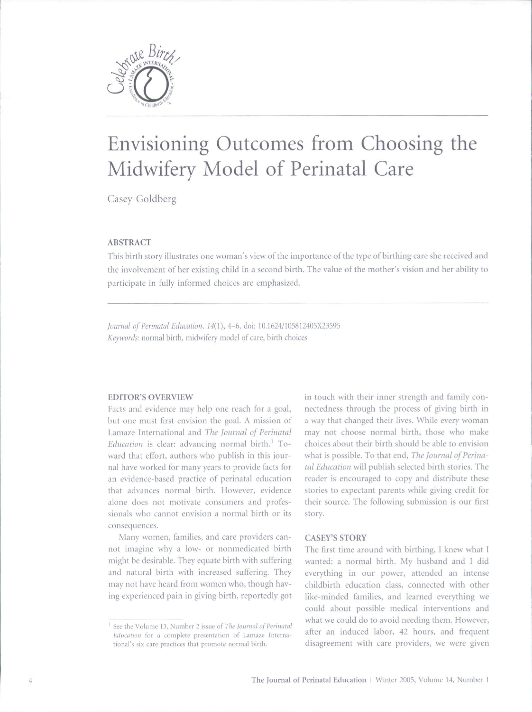

# Envisioning Outcomes from Choosing the Midwifery Model of Perinatal Care

Casey Coldberg

## **ABSTRACT**

This birth story illustrates one woman's view of the importance of the type of birthing care she received and the involvement of her existing child in a second birth. The value of the mother's vision and her ability to participate in fully informed choices are emphasized.

*Journal of Perinatal Education, 14(1), 4-6, doi: 10.1624*/105812405X23595 Keywords: normal birth, midwifery model of care, birth choices

## **EDITOR'S OVERVIEW**

Facts and evidence may help one reach for a goal, but one must first envision the goal. A mission of Lamaze International and *The journal of Perinatal Education* is clear: advancing normal birth.' Toward that effort, authors who publish in this journal have worked for many years to provide facts for an evidence-based practice of perinatal education that advances normal birth. However, evidence alone does not motivate consumers and professionals who cannot envision a normal birth or its consequences.

Many women, families, and care providers cannot imagine why a low- or nonmedicated birth might be desirable. They equate birth with suffering and natural birth with increased suffering. They may not have heard from women who, though having experienced pain in giving birth, reportedly got in touch with their inner strength and family connectedness through the process of giving birth in a way that changed their lives. While every woman may not choose normal birth, those who make choices about their birth should be able to envision what is possible. To that end, *The Journal of Perina*tal Education will publish selected birth stories. The reader is encouraged to copy and distribute these stories to expectant parents while giving credit for their source. The following submission is our first story.

#### CASEY'S STORY

The first time around with birthing, I knew what I wanted: a normal birth. My husband and 1 did everything in our power, attended an intense childbirth education class, connected with other like-minded families, and learned everything we could about possible medical interventions and what we could do to avoid needing them. However, after an induced labor, 42 hours, and frequent disagreement with care providers, we were given

<sup>&</sup>lt;sup>1</sup> See the Volume 13, Number 2 issue of *The Journal of Perinatal Education* for a complete presentation of Lamaze International's six care practices that promote normal birth.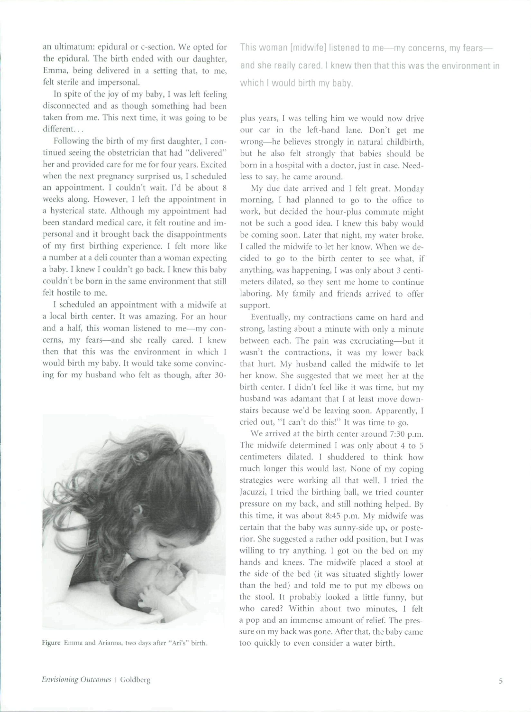an ultimatum: epidural or c-section. We opted for the epidural. The birth ended with our daughter, Emma, being delivered in a setting that, to me, felt sterile and impersonal.

In spite of the joy of my baby, I was left feeling disconnected and as though something had been taken from me. This next time, it was going to be different...

Following the birth of my first daughter, I continued seeing the obstetrician that had "delivered" her and provided care for me for four years. Excited when the next pregnancy surprised us, I scheduled an appointment. I couldn't wait. I'd be about 8 weeks along. However, I left the appointment in a hysterical state. Although my appointment had been standard medical care, it felt routine and impersonal and it brought back the disappointments ot my first birthing experience. I felt more like a number at a deli counter tban a woman expecting a baby. I knew I couldn't go back. I knew this baby couldn't be born in the same environment that still felt hostile to me.

I scheduled an appointment with a midwife at a local birth center. It was amazing. For an hour and a half, this woman listened to me—my concerns, my fears—and she really cared. 1 knew then that this was the environment in which I would birth my baby. It would take some convincing for my husband who felt as though, after 30-



Figure Emma and Arianna, two days after "Ari's" birth.

This woman [midwife] listened to me—my concerns, my fears and she really cared. I knew then that this was the environment in which I would birth my baby.

plus years, I was telling bim we would now drive our car in tbe left-hand lane. Don't get me wrong—he believes strongly in natural childbirtb, but he also felt strongly that babies should be born in a hospital with a doctor, just in case. Needless to say, he came around.

My due date arrived and I felt great. Monday morning, I had planned to go to the office to work, but decided the hour-plus commute might not be such a good idea. I knew this baby would be coming soon. Later that night, my water broke. I called the midwife to let her know. When we decided to go to the birth center to see what, if anything, was happening, I was only about 3 centimeters dilated, so they sent me home to continue laboring. My family and friends arrived to offer support.

Eventually, my contractions came on hard and strong, lasting about a minute with only a minute between each. The pain was excruciating—but it wasn't tbe contractions, it was my lower back that burt. My husband called the midwife to let her know. She suggested that we meet her at tbe birth center. I didn't feel like it was time, but my husband was adamant that I at least move downstairs because we'd be leaving soon. Apparently, I cried out, "1 can't do this!" It was time to go.

We arrived at the birth center around 7:30 p.m. The midwife determined I was only about 4 to 5 centimeters dilated. 1 shuddered to think how mucb longer this would last. None of my coping strategies were working all that well. 1 tried the lacuzzi, I tried the birthing ball, we tried counter pressure on my back, and still nothing helped. By this time, it was about 8:45 p.m. My midwife was certain that the baby was sunny-side up, or posterior. Sbe suggested a ratber odd position, but I was willing to try anything. I got on the bed on my bands and knees. The midwife placed a stool at the side of the bed (it was situated slightly lower than the bed) and told me to put my elbows on the stool. It probably looked a little funny, but who cared? Within about two minutes, I felt a pop and an immense amount of relief. The pressure on my back was gone. After that, the baby came too quickly to even consider a water birtb.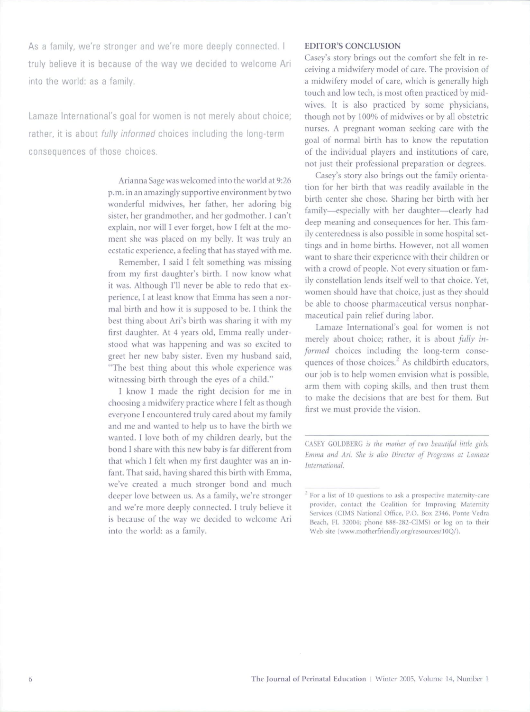As a family, we're stronger and we're more deeply connected. I truly believe it is because of the way we decided to welcome Ari into the world: as a family.

Lamaze International's goal for women is not merely about choice: rather, it is about *fully informed* choices including the long-term consequences of those choices.

> Arianna Sage was welcomed into the world at 9:26 p.m. in an amazingly supportive environment by two wonderful midwives, ber father, her adoring big sister, her grandmother, and her godmother. I can't explain, nor wilt I ever forget, how I felt at the moment she was placed on my belly. It was truly an ecstatic experience, a feeling that has stayed with me.

> Remember, I said I felt something was missing from my first daughter's birtb. I now know what it was. Although I'll never be able to redo that experience, I at least know that Emma has seen a normal birth and how it is supposed to be. I think the best tbing about Ari's birth was sharing it with my first daughter. At 4 years old, Emma really understood what was happening and was so excited to greet her new baby sister. Even my husband said, "The best tbing about this whole experience was witnessing birth through the eyes of a child."

> I know I made the right decision for me in choosing a midwifery practice where I felt as though everyone 1 encountered truly cared about my family and me and wanted to help us to have the birth we wanted. I love both of my children dearly, but the bond I share with this new baby is far different from tbat which I felt when my first daughter was an infant. That said, having shared this birth with Emma, we've created a much stronger bond and much deeper love between us. As a family, we're stronger and we're more deeply connected. I truly believe it is because of the way we decided to welcome Ari into the world: as a family.

## **EDITOR'S CONCLUSION**

Casey's story brings out the comfort she felt in receiving a midwifery model of care. The provision of a midwifery model of care, which is generally high touch and low tech, is most often practiced by midwives. It is also practiced by some physicians, though not by 100% of midwives or by ail obstetric nurses. A pregnant woman seeking care with the goal of normal birth has to know the reputation of the individual players and institutions of care, not just their professional preparation or degrees.

Casey's story also brings out the family orientation for her birth that was readily available in the birth center she chose. Sharing her birth with her family—especially with her daughter—clearly had deep meaning and consequences for ber. This family centeredness is also possible in some hospital settings and in home births. However, not all women want to share their experience with their children or with a crowd of people. Not every situation or family constellation lends itself well to that choice. Yet, women should have that choice, just as they should be able to cboose pharmaceutical versus nonpharmaceutical pain relief during labor.

Lamaze International's goal for women is not merely about choice; rather, it is about *fully irijormed* choices including the long-term consequences of those choices.<sup>2</sup> As childbirth educators, our job is to help women envision what is possible, arm them with coping skills, and then trust them to make tbe decisions that are best for tbem. But first we must provide the vision.

CASEY GOLDBERG *is the mother of two beautiful little girts, Emma and Ari. She is also Director of Programs at Lamaze international*

<sup>&</sup>lt;sup>2</sup> For a list of 10 questions to ask a prospective maternity-care provider, contact the Coalition for Improving Maternity Services (CIMS National Office, P.O. Box 2346, Ponte Vedra Beach, FL 32004; phone 888-282-CIMS) or log on to their Web site (www.motherfriendly.org/resources/10Q/).